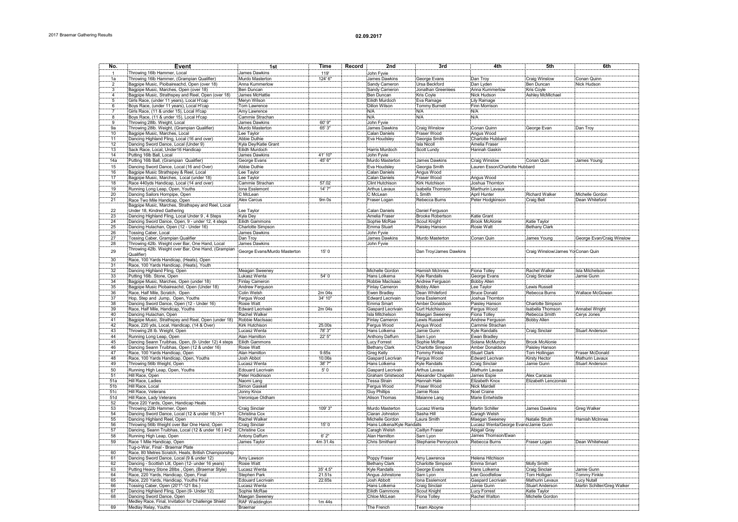| No.             | Event                                                               | 1st                          | Time      | Record | 2nd                        | 3rd                    | "4th                                 | <b>5th</b>                         | 6th                         |
|-----------------|---------------------------------------------------------------------|------------------------------|-----------|--------|----------------------------|------------------------|--------------------------------------|------------------------------------|-----------------------------|
|                 |                                                                     | James Dawkins                |           |        |                            |                        |                                      |                                    |                             |
|                 | Throwing 16lb Hammer, Local                                         |                              | 119       |        | John Fyvie                 |                        |                                      |                                    |                             |
| 1a              | Throwing 16lb Hammer, (Grampian Qualifier)                          | Murdo Masterton              | 124' 6"   |        | James Dawkins              | George Evans           | Dan Troy                             | Craig Winslow                      | Conan Quinn                 |
|                 | Bagpipe Music, Pioibaireachd, Open (over 18)                        | ็Anna Kummerlow              |           |        | Sandy Cameron              | Ursa Beckford          | Dan Lyden                            | Ben Duncan                         | Nick Hudson                 |
|                 | Bagpipe Music, Marches, Open (over 18)                              | Ben Duncan                   |           |        | Sandy Cameron              | Jonathan Greenlees     | Anna Kummerlow                       | <b>Kris Coyle</b>                  |                             |
| $\mathbf{4}$    | Bagpipe Music, Strathspey and Reel, Open (over 18)                  | James McHattie               |           |        | Ben Duncan                 | Kris Coyle             | Nick Hudson                          | Ashley McMichael                   |                             |
|                 | Girls Race, (under 11 years), Local H'cap                           | Meryn Wilson                 |           |        | Eilidh Murdoch             | Eva Ramage             | Lily Ramage                          |                                    |                             |
|                 | Boys Race, (under 11 years), Local H'cap                            | Tom Lawrence                 |           |        | Dillon Wilson              | Tommy Burnett          | Finn Morrison                        |                                    |                             |
|                 | Girls Race, (11 & under 15), Local H'cap                            | Amy Lawrence                 |           |        | N/A                        | N/A                    | N/A                                  |                                    |                             |
|                 | Boys Race, (11 & under 15), Local H'cap                             | Cammie Strachan              |           |        | N/A                        | N/A                    | N/A                                  |                                    |                             |
|                 | Throwing 28lb. Weight, Local                                        | James Dawkins                | $60'$ 9"  |        | John Fvvie                 |                        |                                      |                                    |                             |
| 9a              |                                                                     | Murdo Masterton              | 65' 3"    |        | James Dawkins              | Craig Winslow          | Conan Quinn                          | George Evan                        | Dan Troy                    |
| 10              | Throwing 28lb. Weight, (Grampian Qualifier)                         |                              |           |        |                            |                        |                                      |                                    |                             |
|                 | Bagpipe Music, Marches, Local                                       | Lee Taylor                   |           |        | Calan Daniels              | Fraser Wood            | Angus Wood                           |                                    |                             |
| 11              | Dancing Highland Fling, Local (16 and over)                         | Abbie Duthie                 |           |        | Eva Houdsley               | Georgia Smith          | Charlotte Hubbard                    |                                    |                             |
| $\overline{12}$ | Dancing Sword Dance, Local (Under 9)                                | Kyla Dey/Katie Grant         |           |        |                            | <b>Isla Nicoll</b>     | Amelia Fraser                        |                                    |                             |
| 13              | Sack Race, Local, Under16 Handicap                                  | Eilidh Murdoch               |           |        | Harris Murdoch             | Scott Lundy            | Hannah Gaskin                        |                                    |                             |
| 14              | Putting 16lb Ball, Local                                            | James Dawkins                | 41' 10'   |        | John Fyvie                 |                        |                                      |                                    |                             |
| 14a             | Putting 16lb Ball, (Grampian Qualifier)                             | George Evans                 | 45' 6"    |        | Murdo Masterton            | James Dawkins          | Craig Winslow                        | Conan Quin                         | James Young                 |
| 15              | Dancing Sword Dance, Local (16 and Over)                            | Abbie Duthie                 |           |        | Eva Houdsley               | Georgia Smith          | Lauren Esson/Charlotte Hubbard       |                                    |                             |
| 16              | Bagpipe Music Strathspey & Reel, Local                              | Lee Taylor                   |           |        | Calan Daniels              | Angus Wood             |                                      |                                    |                             |
| 17              |                                                                     | Lee Taylor                   |           |        | Calan Daniels              | Fraser Wood            |                                      |                                    |                             |
| 18              | Bagpipe Music, Marches, Local (under 18)                            |                              | 57.02     |        |                            |                        | Angus Wood                           |                                    |                             |
|                 | Race 440yds Handicap, Local (14 and over)                           | :Cammie Strachan             |           |        | Clint Hutchison            | Kirk Hutchison         | Joshua Thornton                      |                                    |                             |
| 19              | Running Long Leap, Open, Youths                                     | Iona Esslemont               | 14' 7"    |        | Arthus Lavaux              | Isabella Thomson       | Marthurin Lavaux                     |                                    |                             |
| 20              | Dancing Sailors Hornpipe, Open                                      | iC McLean                    |           |        | C McLean                   | L Smith                | April Hunter                         | <b>Richard Walker</b>              | Michelle Gordon             |
| 21              | Race Two Mile Handicap, Open                                        | Alex Carcus                  | $9m$ Os   |        | Fraser Logan               | Rebecca Burns          | Peter Hodgkinson                     | Craig Bell                         | Dean Whiteford              |
|                 | Bagpipe Music, Marches, Strathspey and Reel, Local                  |                              |           |        |                            |                        |                                      |                                    |                             |
| 22              | Under 18, Kindred Gathering                                         | Lee Taylor                   |           |        | Calan Daniels              | Daniel Ferguson        |                                      |                                    |                             |
| 23              | Dancing Highland Fling, Local Under 9, 4 Steps                      | Kyla Dey                     |           |        | Amelia Fraser              | Brooke Robertson       | Katie Grant                          |                                    |                             |
| 24              | Dancing Sword Dance, Open, 9 - under 12, 4 steps                    | Eilidh Gammons               |           |        | Sophie McRae               | Scout Knight           | <b>Brook McAlonie</b>                | Katie Taylor                       |                             |
| 25              | Dancing Hulachan, Open (12 - Under 16)                              | Charlotte Simpson            |           |        | Emma Stuart                | Paisley Hanson         | Rosie Watt                           | <b>Bethany Clark</b>               |                             |
| 26              |                                                                     | James Dawkins                |           |        |                            |                        |                                      |                                    |                             |
|                 | Tossing Caber, Local                                                |                              |           |        | John Fyvie                 |                        |                                      |                                    |                             |
| 27              | Tossing Caber, Grampian Qualifier                                   | Dan Troy                     |           |        | James Dawkins              | Murdo Masterton        | Conan Quin                           | James Young                        | George Evan/Craig Winslow   |
| 28              | Throwing 42lb. Weight over Bar, One Hand, Local                     | James Dawkins                |           |        | John Fyvie                 |                        |                                      |                                    |                             |
| 29              | Throwing 42lb. Weight over Bar, One Hand, (Grampian                 | George Evans/Murdo Masterton | 15'0      |        |                            | Dan Troy/James Dawkins |                                      | Craig Winslow/James Yo: Conan Quin |                             |
|                 | Qualifier)                                                          |                              |           |        |                            |                        |                                      |                                    |                             |
| 30              | Race, 100 Yards Handicap, (Heats), Open                             |                              |           |        |                            |                        |                                      |                                    |                             |
| 31              | Race, 100 Yards Handicap, (Heats), Youth                            |                              |           |        |                            |                        |                                      |                                    |                             |
| 32              | Dancing Highland Fling, Open                                        | Meagan Sweeney               |           |        | Michelle Gordon            | Hamish McInnes         | Fiona Tolley                         | Rachel Walker                      | Isla Mitchelson             |
| 33              | Putting 16lb. Stone, Open                                           | Lukasz Wenta                 | 54'0      |        | Hans Lolkema               | Kyle Randalls          | George Evans                         | Craig Sinclair                     | Jamie Gunn                  |
| 34              | Bagpipe Music, Marches, Open (under 18)                             | Finlay Cameron               |           |        | Robbie MacIsaac            | Andrew Ferguson        | <b>Bobby Allen</b>                   |                                    |                             |
| 35              |                                                                     |                              |           |        |                            |                        |                                      | Lewis Russell                      |                             |
|                 | Bagpipe Music Piobaireachd, Open (Under 18)                         | Andrew Ferguson              |           |        | Finlay Cameron             | Bobby Allen            | Lee Taylor                           |                                    |                             |
| 36              | Race, Half Mile, Scratch, Open                                      | Colin Welsh                  | 2m 04s    |        | Ewen Bradley               | Dean Whiteford         | <b>Bruce Donald</b>                  | Rebecca Burns                      | Wallace McGowan             |
| 37              | Hop, Step and Jump, Open, Youths                                    | Feraus Wood                  | 34' 10"   |        | <b>Edward Lecrivain</b>    | Iona Esslemont         | Joshua Thornton                      |                                    |                             |
| 38              | Dancing Sword Dance, Open (12 - Under 16)                           | Rosie Watt                   |           |        | Emma Smart                 | Amber Donaldson        | Paisley Hanson                       | Charlotte Simpson                  |                             |
| 39              | Race, Half Mile, Handicap, Youths                                   | Edward Lecrivain             | 2m 04s    |        | Gaspard Lecrivain          | Curt Hutchison         | Fergus Wood                          | Isabella Thomson                   | Annabel Wright              |
| 40              | Dancing Hulachan, Open                                              | Rachel Walker                |           |        | Isla Mitchelson            | Maegan Sweeney         | Fiona Tolley                         | Rebecca Smith                      | Cerys Jones                 |
| 41              | Bagpipe Music, Strathspey and Reel, Open (under 18) Robbie MacIsaac |                              |           |        | Finlay Cameron             | Lewis Russell          | Andrew Ferguson                      | <b>Bobby Allen</b>                 |                             |
| 42              | Race, 220 yds, Local, Handicap, (14 & Over)                         | Kirk Hutchison               | 25.00s    |        | Fergus Wood                | Angus Wood             | Cammie Strachan                      |                                    |                             |
| 43              | Throwing 28 lb. Weight, Open                                        | Lucasz Wenta                 | 78'3"     |        | Hans Lolkema               | Jamie Gunn             | <b>Kyle Randalls</b>                 | Craig Sinclair                     | <b>Stuart Anderson</b>      |
| 44              |                                                                     | Alan Hamilton                | 22' 5"    |        |                            | Sam Lvon               | Ewan Bradley                         |                                    |                             |
| 45              | Running Long Leap, Open                                             |                              |           |        | Anthony Daffurn            |                        | Solana McMurchy                      | <b>Brook McAlonie</b>              |                             |
|                 |                                                                     |                              |           |        | Lucy Forrest               | Sophie McRae           |                                      |                                    |                             |
| 46              | Dancing Seann Truibhas, Open (12 & under 16)                        | Rosie Watt                   |           |        | <b>Bethany Clark</b>       | Charlotte Simpson      | Amber Donaldson                      | Paisley Hanson                     |                             |
| 47              | Race, 100 Yards Handicap, Open                                      | Alan Hamilton                | 9.65s     |        | Greg Kelly                 | Tommy Finkle           | <b>Stuart Clark</b>                  | Tom Hollingan                      | Fraser McDonald             |
| 48              | Race, 100 Yards Handicap, Open, Youths                              | Josh Abbot                   | 10.06s    |        | Gaspard Lecrivan           | Fergus Wood            | Edward Lecrivan                      | Kirsty Hector                      | Mathurin Lavaux             |
| 49              | Throwing 56lb Weight, Open                                          | Lucasz Wenta                 | 38'7"     |        | Hans Lolkema               | Kyle Randalls          | Craig Sinclair                       | Jamie Gunn                         | Stuart Anderson             |
| 50              | Running High Leap, Open, Youths                                     | Edouard Lecrivain            | $5'0$     |        | Gaspard Lecrivain          | Arthus Lavaux          | Mathurin Lavaux                      |                                    |                             |
| 51              | Hill Race, Open                                                     | Peter Hodkinson              |           |        | Graham Gristwood           | Alexander Chapelin     | James Espie                          | Alex Caracas                       |                             |
| 51a             | Hill Race, Ladies                                                   | Naomi Lang!                  |           |        | Tessa Strain               | Hannah Hale            | Elizabeth Knox                       | Elizabeth Lenczonski               |                             |
| 51b             | Hill Race, Local                                                    |                              |           |        |                            |                        | <b>Nick Mardell</b>                  |                                    |                             |
|                 |                                                                     | Simon Gaskell                |           |        | Fergus Wood                | Fraser Wood            |                                      |                                    |                             |
| 51c             | Hill Race, Veterans                                                 | Jonny Knox                   |           |        | Guy Phillips               | Jamie Ross             | Noel Craine                          |                                    |                             |
| 51d             | Hill Race, Lady Veterans                                            | Veronique Oldham             |           |        | Alison Thomas              | Maianne Lang           | Marie Entwhistle                     |                                    |                             |
| 52              | Race 220 Yards, Open, Handicap Heats                                |                              |           |        |                            |                        |                                      |                                    |                             |
| 53              | Throwing 22lb Hammer, Open                                          | Craig Sinclair               | 109' 3"   |        | Murdo Masterton            | Lucasz Wenta           | <b>Martin Schiller</b>               | James Dawkins                      | Greg Walker                 |
| $\overline{54}$ | Dancing Sword Dance, Local (12 & under 16) 3+1                      | Christina Cox                |           |        | Ciaran Johnston            | Sasha Hill             | Caragh Welsh                         |                                    |                             |
| 55              | Dancing Highland Reel, Open                                         | Rachel Walker                |           |        | Michelle Gordon            | Laura Smith            | Maegan Sweeney                       | Natalie Struth                     | Hamish McInnes              |
| 56              | Throwing 56lb Weight over Bar One Hand, Open                        | Craig Sinclair               | 15' 0     |        | Hans Lolkena/Kyle Randalls |                        | Lucasz Wenta/George Evans/Jamie Gunn |                                    |                             |
| 57              |                                                                     |                              |           |        |                            |                        | Abigail Gray                         |                                    |                             |
| 58              | Dancing, Seann Truibhas, Local (12 & under 16) 4+2 [Christine Cox   |                              |           |        | Caragh Welsh               | Caitlyn Fraser         | James Thomson/Ewan                   |                                    |                             |
|                 | Running High Leap, Open                                             | Antony Daffurn               | 6'2"      |        | Alan Hamilton              | Sam Lyon               |                                      |                                    |                             |
| 59              | Race 1 Mile Handicap, Open                                          | James Taylor                 | 4m 31.4s  |        | Chris Smithard             | Stephanie Pennycock    | Rebecca Burns                        | Fraser Logan                       | Dean Whitehead              |
|                 | Tug-o-War, Final - Braemar Plate                                    |                              |           |        |                            |                        |                                      |                                    |                             |
| 60              | Race, 80 Metres Scratch, Heats, British Championship                |                              |           |        |                            |                        |                                      |                                    |                             |
| 61              | Dancing Sword Dance, Local (9 & under 12)                           | :Amv Lawson                  |           |        | Poppy Fraser               | Amy Lawrence           | Helena Hitchison                     |                                    |                             |
| 62              | Dancing - Scottish Lilt, Open (12- under 16 years)                  | Rosie Watt                   |           |        | <b>Bethany Clark</b>       | Charlotte Simpson      | Emma Smart                           | Molly Smith                        |                             |
| 63              | Putting Heavy Stone 28lbs, Open, (Braemar Style)                    | Lucasz Wenta                 | 35' 4.5'' |        | Kyle Randalls              | George Evans           | Hans Lolkema                         | Craig Sinclair                     | Jamie Gunn                  |
| 64              |                                                                     |                              | 21.51s    |        |                            |                        |                                      |                                    | <b>Tommy Finkle</b>         |
|                 | Race, 220 Yards, Handicap, Open, Final                              | Stephen Park                 |           |        | Angus Johnstone            | Sam Lyon               | Lee Goodfellow                       | Tom Holligan                       |                             |
| 65              | Race, 220 Yards, Handicap, Youths Final                             | <b>Edouard Lecrivain</b>     | 22.65s    |        | Josh Abbott                | Iona Esslemont         | Gaspard Lecrivain                    | Mathurin Levaux                    | Lucy Nutall                 |
| 66              | Tossing Caber, Open (20'1"-121 lbs.)                                | Lucasz Wenta                 |           |        | Hans Lolkema               | Craig Sinclair         | Jamie Gunn                           | Stuart Anderson                    | Martin Schiller/Greg Walker |
| 67              | Dancing Highland Fling, Open (9- Under 12)                          | Sophie McRae                 |           |        | Eilidh Gammons             | <b>Scout Knight</b>    | <b>Lucy Forrest</b>                  | Katie Taylor                       |                             |
| 68              | Dancing Sword Dance, Open                                           | Maegan Sweeney               |           |        | Chloe McLean               | Fiona Tolley           | Rachel Walton                        | Michelle Gordon                    |                             |
|                 | Medley Race, Final, Invitation for Challenge Shield                 | RAF Waddington               | $1m$ 44s  |        |                            |                        |                                      |                                    |                             |
| 69              | Medlay Relay, Youths                                                | Braemar                      |           |        | The French                 | Team Aboyne            |                                      |                                    |                             |
|                 |                                                                     |                              |           |        |                            |                        |                                      |                                    |                             |